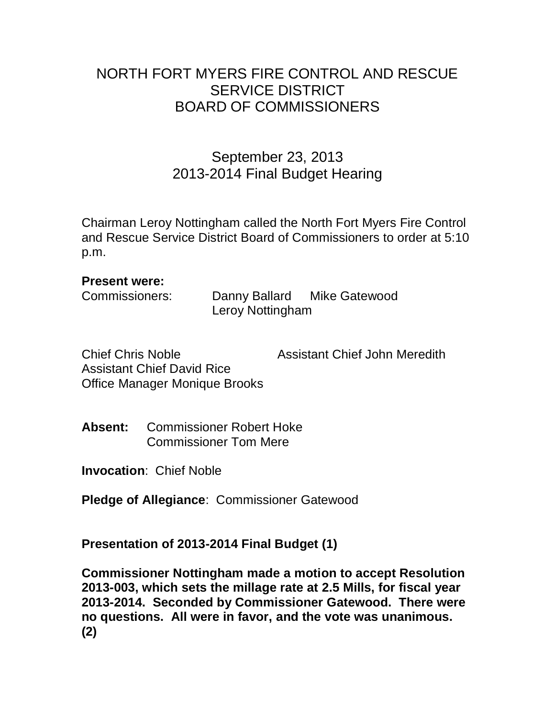## NORTH FORT MYERS FIRE CONTROL AND RESCUE SERVICE DISTRICT BOARD OF COMMISSIONERS

## September 23, 2013 2013-2014 Final Budget Hearing

Chairman Leroy Nottingham called the North Fort Myers Fire Control and Rescue Service District Board of Commissioners to order at 5:10 p.m.

## **Present were:**

| Commissioners: | Danny Ballard    | <b>Mike Gatewood</b> |
|----------------|------------------|----------------------|
|                | Leroy Nottingham |                      |

| <b>Chief Chris Noble</b>      | <b>Assistant Chief John Meredith</b> |
|-------------------------------|--------------------------------------|
| Assistant Chief David Rice    |                                      |
| Office Manager Monique Brooks |                                      |

**Absent:** Commissioner Robert Hoke Commissioner Tom Mere

**Invocation**: Chief Noble

**Pledge of Allegiance**: Commissioner Gatewood

**Presentation of 2013-2014 Final Budget (1)**

**Commissioner Nottingham made a motion to accept Resolution 2013-003, which sets the millage rate at 2.5 Mills, for fiscal year 2013-2014. Seconded by Commissioner Gatewood. There were no questions. All were in favor, and the vote was unanimous. (2)**